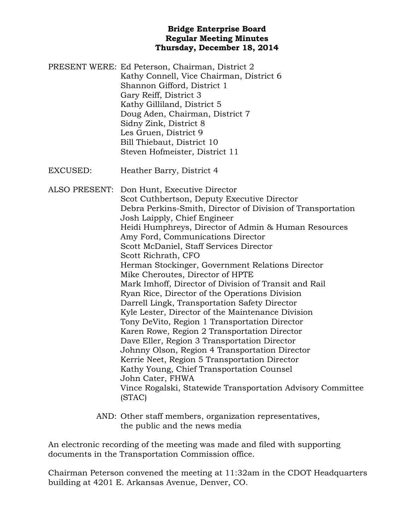#### **Bridge Enterprise Board Regular Meeting Minutes Thursday, December 18, 2014**

PRESENT WERE: Ed Peterson, Chairman, District 2 Kathy Connell, Vice Chairman, District 6 Shannon Gifford, District 1 Gary Reiff, District 3 Kathy Gilliland, District 5 Doug Aden, Chairman, District 7 Sidny Zink, District 8 Les Gruen, District 9 Bill Thiebaut, District 10 Steven Hofmeister, District 11

EXCUSED: Heather Barry, District 4

ALSO PRESENT: Don Hunt, Executive Director Scot Cuthbertson, Deputy Executive Director Debra Perkins-Smith, Director of Division of Transportation Josh Laipply, Chief Engineer Heidi Humphreys, Director of Admin & Human Resources Amy Ford, Communications Director Scott McDaniel, Staff Services Director Scott Richrath, CFO Herman Stockinger, Government Relations Director Mike Cheroutes, Director of HPTE Mark Imhoff, Director of Division of Transit and Rail Ryan Rice, Director of the Operations Division Darrell Lingk, Transportation Safety Director Kyle Lester, Director of the Maintenance Division Tony DeVito, Region 1 Transportation Director Karen Rowe, Region 2 Transportation Director Dave Eller, Region 3 Transportation Director Johnny Olson, Region 4 Transportation Director Kerrie Neet, Region 5 Transportation Director Kathy Young, Chief Transportation Counsel John Cater, FHWA Vince Rogalski, Statewide Transportation Advisory Committee (STAC)

> AND: Other staff members, organization representatives, the public and the news media

An electronic recording of the meeting was made and filed with supporting documents in the Transportation Commission office.

Chairman Peterson convened the meeting at 11:32am in the CDOT Headquarters building at 4201 E. Arkansas Avenue, Denver, CO.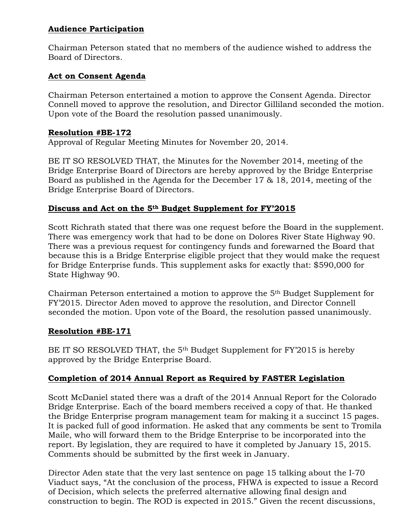## **Audience Participation**

Chairman Peterson stated that no members of the audience wished to address the Board of Directors.

# **Act on Consent Agenda**

Chairman Peterson entertained a motion to approve the Consent Agenda. Director Connell moved to approve the resolution, and Director Gilliland seconded the motion. Upon vote of the Board the resolution passed unanimously.

### **Resolution #BE-172**

Approval of Regular Meeting Minutes for November 20, 2014.

BE IT SO RESOLVED THAT, the Minutes for the November 2014, meeting of the Bridge Enterprise Board of Directors are hereby approved by the Bridge Enterprise Board as published in the Agenda for the December 17 & 18, 2014, meeting of the Bridge Enterprise Board of Directors.

# **Discuss and Act on the 5th Budget Supplement for FY'2015**

Scott Richrath stated that there was one request before the Board in the supplement. There was emergency work that had to be done on Dolores River State Highway 90. There was a previous request for contingency funds and forewarned the Board that because this is a Bridge Enterprise eligible project that they would make the request for Bridge Enterprise funds. This supplement asks for exactly that: \$590,000 for State Highway 90.

Chairman Peterson entertained a motion to approve the 5th Budget Supplement for FY'2015. Director Aden moved to approve the resolution, and Director Connell seconded the motion. Upon vote of the Board, the resolution passed unanimously.

## **Resolution #BE-171**

BE IT SO RESOLVED THAT, the 5<sup>th</sup> Budget Supplement for FY'2015 is hereby approved by the Bridge Enterprise Board.

# **Completion of 2014 Annual Report as Required by FASTER Legislation**

Scott McDaniel stated there was a draft of the 2014 Annual Report for the Colorado Bridge Enterprise. Each of the board members received a copy of that. He thanked the Bridge Enterprise program management team for making it a succinct 15 pages. It is packed full of good information. He asked that any comments be sent to Tromila Maile, who will forward them to the Bridge Enterprise to be incorporated into the report. By legislation, they are required to have it completed by January 15, 2015. Comments should be submitted by the first week in January.

Director Aden state that the very last sentence on page 15 talking about the I-70 Viaduct says, "At the conclusion of the process, FHWA is expected to issue a Record of Decision, which selects the preferred alternative allowing final design and construction to begin. The ROD is expected in 2015." Given the recent discussions,